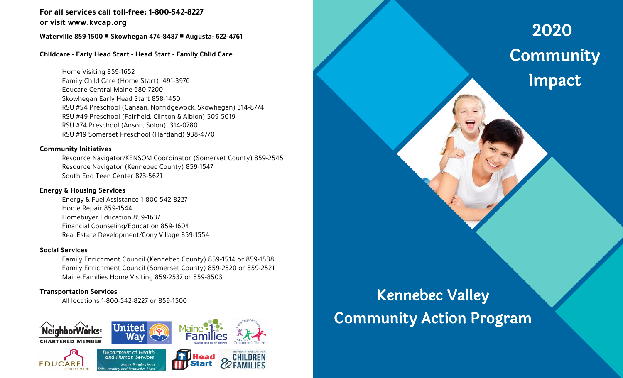# **For all services call toll-free: 1-800-542-8227 or visit www.kvcap.org**

## **Waterville 859-1500 Skowhegan 474-8487 Augusta: 622-4761**

## **Childcare - Early Head Start - Head Start - Family Child Care**

Home Visiting 859-1652 Family Child Care (Home Start) 491-3976 Educare Central Maine 680-7200 Skowhegan Early Head Start 858-1450 RSU #54 Preschool (Canaan, Norridgewock, Skowhegan) 314-8774 RSU #49 Preschool (Fairfield, Clinton & Albion) 509-5019 RSU #74 Preschool (Anson, Solon) 314-0780 RSU #19 Somerset Preschool (Hartland) 938-4770

#### **Community Initiatives**

Resource Navigator/KENSOM Coordinator (Somerset County) 859-2545 Resource Navigator (Kennebec County) 859-1547 South End Teen Center 873-5621

### **Energy & Housing Services**

Energy & Fuel Assistance 1-800-542-8227 Home Repair 859-1544 Homebuyer Education 859-1637 Financial Counseling/Education 859-1604 Real Estate Development/Cony Village 859-1554

### **Social Services**

Family Enrichment Council (Kennebec County) 859-1514 or 859-1588 Family Enrichment Council (Somerset County) 859-2520 or 859-2521 Maine Families Home Visiting 859-2537 or 859-8503

### **Transportation Services**

All locations 1-800-542-8227 or 859-1500



# Kennebec Valley Community Action Program

2020 **Community** Impact